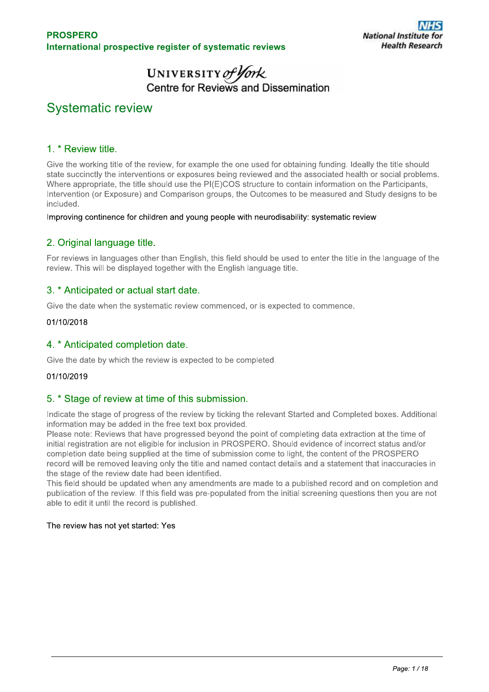# UNIVERSITY of York<br>Centre for Reviews and Dissemination

## **Systematic review**

## 1. \* Review title.

Give the working title of the review, for example the one used for obtaining funding. Ideally the title should state succinctly the interventions or exposures being reviewed and the associated health or social problems. Where appropriate, the title should use the PI(E)COS structure to contain information on the Participants, Intervention (or Exposure) and Comparison groups, the Outcomes to be measured and Study designs to be included.

Improving continence for children and young people with neurodisability: systematic review

## 2. Original language title.

For reviews in languages other than English, this field should be used to enter the title in the language of the review. This will be displayed together with the English language title.

## 3. \* Anticipated or actual start date.

Give the date when the systematic review commenced, or is expected to commence.

#### 01/10/2018

## 4. \* Anticipated completion date.

Give the date by which the review is expected to be completed.

#### 01/10/2019

## 5. \* Stage of review at time of this submission.

Indicate the stage of progress of the review by ticking the relevant Started and Completed boxes. Additional information may be added in the free text box provided.

Please note: Reviews that have progressed beyond the point of completing data extraction at the time of initial registration are not eligible for inclusion in PROSPERO. Should evidence of incorrect status and/or completion date being supplied at the time of submission come to light, the content of the PROSPERO record will be removed leaving only the title and named contact details and a statement that inaccuracies in the stage of the review date had been identified.

This field should be updated when any amendments are made to a published record and on completion and publication of the review. If this field was pre-populated from the initial screening questions then you are not able to edit it until the record is published.

#### The review has not yet started: Yes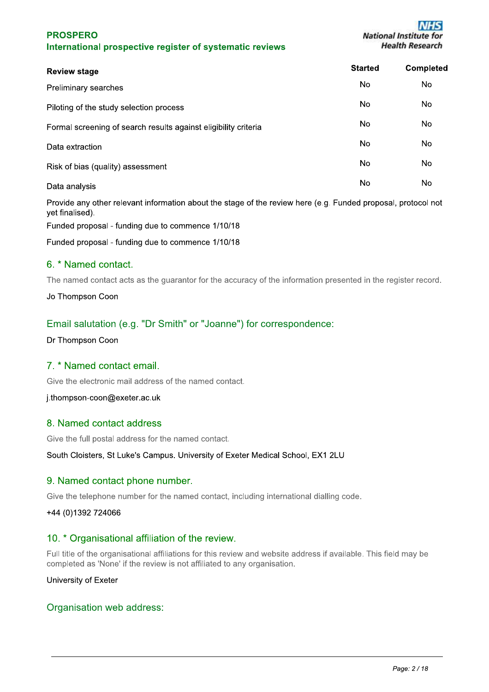| <b>Review stage</b>                                             | <b>Started</b> | Completed |
|-----------------------------------------------------------------|----------------|-----------|
| Preliminary searches                                            | No.            | No.       |
| Piloting of the study selection process                         | No.            | No.       |
| Formal screening of search results against eligibility criteria | No.            | No.       |
| Data extraction                                                 | No.            | No.       |
| Risk of bias (quality) assessment                               | No.            | No.       |
| Data analysis                                                   | No             | No        |

Provide any other relevant information about the stage of the review here (e.g. Funded proposal, protocol not vet finalised).

Funded proposal - funding due to commence 1/10/18

Funded proposal - funding due to commence 1/10/18

## 6. \* Named contact.

The named contact acts as the guarantor for the accuracy of the information presented in the register record.

Jo Thompson Coon

## Email salutation (e.g. "Dr Smith" or "Joanne") for correspondence:

Dr Thompson Coon

## 7. \* Named contact email.

Give the electronic mail address of the named contact.

j.thompson-coon@exeter.ac.uk

## 8. Named contact address

Give the full postal address for the named contact.

South Cloisters, St Luke's Campus. University of Exeter Medical School, EX1 2LU

## 9. Named contact phone number.

Give the telephone number for the named contact, including international dialling code.

+44 (0)1392 724066

## 10. \* Organisational affiliation of the review.

Full title of the organisational affiliations for this review and website address if available. This field may be completed as 'None' if the review is not affiliated to any organisation.

#### University of Exeter

## Organisation web address: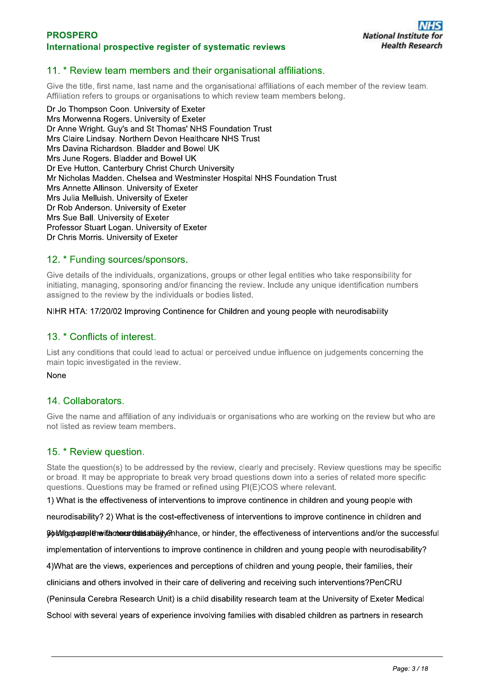## 11. \* Review team members and their organisational affiliations.

Give the title, first name, last name and the organisational affiliations of each member of the review team. Affiliation refers to groups or organisations to which review team members belong.

Dr Jo Thompson Coon, University of Exeter Mrs Morwenna Rogers. University of Exeter Dr Anne Wright. Guy's and St Thomas' NHS Foundation Trust Mrs Claire Lindsay, Northern Devon Healthcare NHS Trust Mrs Davina Richardson, Bladder and Bowel UK Mrs June Rogers. Bladder and Bowel UK Dr Eve Hutton, Canterbury Christ Church University Mr Nicholas Madden, Chelsea and Westminster Hospital NHS Foundation Trust Mrs Annette Allinson. University of Exeter Mrs Julia Melluish, University of Exeter Dr Rob Anderson. University of Exeter Mrs Sue Ball, University of Exeter Professor Stuart Logan. University of Exeter Dr Chris Morris. University of Exeter

#### 12. \* Funding sources/sponsors.

Give details of the individuals, organizations, groups or other legal entities who take responsibility for initiating, managing, sponsoring and/or financing the review. Include any unique identification numbers assigned to the review by the individuals or bodies listed.

#### NIHR HTA: 17/20/02 Improving Continence for Children and young people with neurodisability

## 13. \* Conflicts of interest.

List any conditions that could lead to actual or perceived undue influence on judgements concerning the main topic investigated in the review.

#### None

## 14. Collaborators.

Give the name and affiliation of any individuals or organisations who are working on the review but who are not listed as review team members.

#### 15. \* Review question.

State the question(s) to be addressed by the review, clearly and precisely. Review questions may be specific or broad. It may be appropriate to break very broad questions down into a series of related more specific questions. Questions may be framed or refined using PI(E)COS where relevant.

1) What is the effectiveness of interventions to improve continence in children and young people with

neurodisability? 2) What is the cost-effectiveness of interventions to improve continence in children and

Community of the international state of the state of the effectiveness of interventions and/or the successful

implementation of interventions to improve continence in children and young people with neurodisability?

4) What are the views, experiences and perceptions of children and young people, their families, their

clinicians and others involved in their care of delivering and receiving such interventions?PenCRU

(Peninsula Cerebra Research Unit) is a child disability research team at the University of Exeter Medical

School with several years of experience involving families with disabled children as partners in research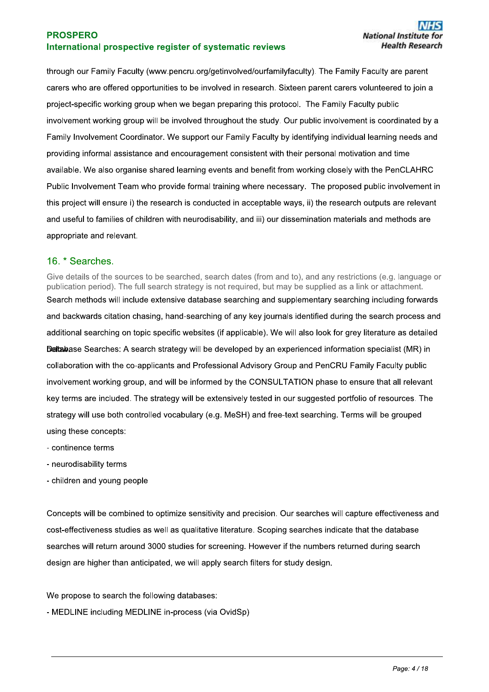through our Family Faculty (www.pencru.org/getinvolved/ourfamilyfaculty). The Family Faculty are parent carers who are offered opportunities to be involved in research. Sixteen parent carers volunteered to join a project-specific working group when we began preparing this protocol. The Family Faculty public involvement working group will be involved throughout the study. Our public involvement is coordinated by a Family Involvement Coordinator. We support our Family Faculty by identifying individual learning needs and providing informal assistance and encouragement consistent with their personal motivation and time available. We also organise shared learning events and benefit from working closely with the PenCLAHRC Public Involvement Team who provide formal training where necessary. The proposed public involvement in this project will ensure i) the research is conducted in acceptable ways, ii) the research outputs are relevant and useful to families of children with neurodisability, and iii) our dissemination materials and methods are appropriate and relevant.

## 16. \* Searches.

Give details of the sources to be searched, search dates (from and to), and any restrictions (e.g. language or publication period). The full search strategy is not required, but may be supplied as a link or attachment. Search methods will include extensive database searching and supplementary searching including forwards and backwards citation chasing, hand-searching of any key journals identified during the search process and additional searching on topic specific websites (if applicable). We will also look for grey literature as detailed Detawase Searches: A search strategy will be developed by an experienced information specialist (MR) in collaboration with the co-applicants and Professional Advisory Group and PenCRU Family Faculty public involvement working group, and will be informed by the CONSULTATION phase to ensure that all relevant key terms are included. The strategy will be extensively tested in our suggested portfolio of resources. The strategy will use both controlled vocabulary (e.g. MeSH) and free-text searching. Terms will be grouped using these concepts:

- continence terms
- neurodisability terms
- children and young people

Concepts will be combined to optimize sensitivity and precision. Our searches will capture effectiveness and cost-effectiveness studies as well as qualitative literature. Scoping searches indicate that the database searches will return around 3000 studies for screening. However if the numbers returned during search design are higher than anticipated, we will apply search filters for study design.

We propose to search the following databases:

- MEDLINE including MEDLINE in-process (via OvidSp)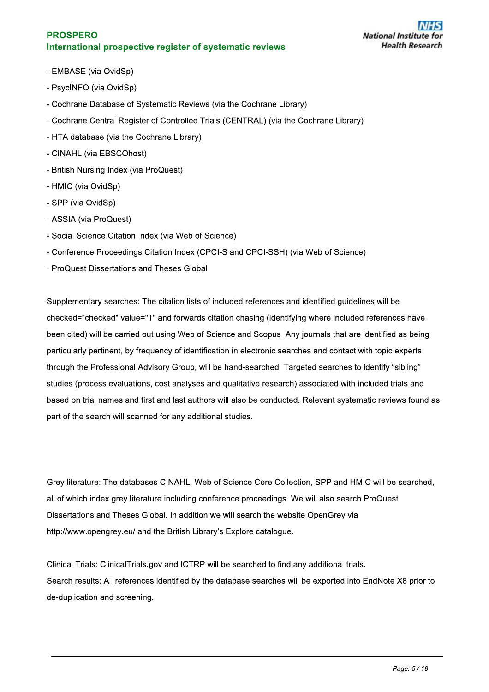- EMBASE (via OvidSp)
- PsycINFO (via OvidSp)
- Cochrane Database of Systematic Reviews (via the Cochrane Library)
- Cochrane Central Register of Controlled Trials (CENTRAL) (via the Cochrane Library)
- HTA database (via the Cochrane Library)
- CINAHL (via EBSCOhost)
- British Nursing Index (via ProQuest)
- HMIC (via OvidSp)
- SPP (via OvidSp)
- ASSIA (via ProQuest)
- Social Science Citation Index (via Web of Science)
- Conference Proceedings Citation Index (CPCI-S and CPCI-SSH) (via Web of Science)
- ProQuest Dissertations and Theses Global

Supplementary searches: The citation lists of included references and identified guidelines will be checked="checked" value="1" and forwards citation chasing (identifying where included references have been cited) will be carried out using Web of Science and Scopus. Any journals that are identified as being particularly pertinent, by frequency of identification in electronic searches and contact with topic experts through the Professional Advisory Group, will be hand-searched. Targeted searches to identify "sibling" studies (process evaluations, cost analyses and qualitative research) associated with included trials and based on trial names and first and last authors will also be conducted. Relevant systematic reviews found as part of the search will scanned for any additional studies.

Grey literature: The databases CINAHL, Web of Science Core Collection, SPP and HMIC will be searched, all of which index grey literature including conference proceedings. We will also search ProQuest Dissertations and Theses Global. In addition we will search the website OpenGrey via http://www.opengrey.eu/ and the British Library's Explore catalogue.

Clinical Trials: Clinical Trials.gov and ICTRP will be searched to find any additional trials. Search results: All references identified by the database searches will be exported into EndNote X8 prior to de-duplication and screening.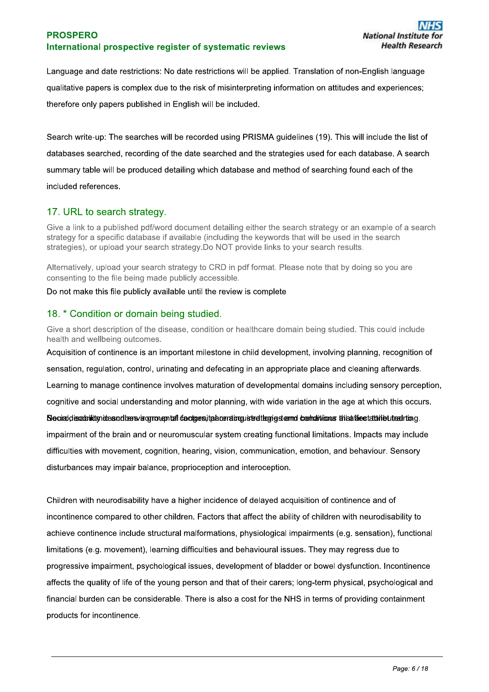Language and date restrictions: No date restrictions will be applied. Translation of non-English language qualitative papers is complex due to the risk of misinterpreting information on attitudes and experiences: therefore only papers published in English will be included.

Search write-up: The searches will be recorded using PRISMA guidelines (19). This will include the list of databases searched, recording of the date searched and the strategies used for each database. A search summary table will be produced detailing which database and method of searching found each of the included references.

## 17. URL to search strategy.

Give a link to a published pdf/word document detailing either the search strategy or an example of a search strategy for a specific database if available (including the keywords that will be used in the search strategies), or upload your search strategy. Do NOT provide links to your search results.

Alternatively, upload your search strategy to CRD in pdf format. Please note that by doing so you are consenting to the file being made publicly accessible.

Do not make this file publicly available until the review is complete

## 18. \* Condition or domain being studied.

Give a short description of the disease, condition or healthcare domain being studied. This could include health and wellbeing outcomes.

Acquisition of continence is an important milestone in child development, involving planning, recognition of sensation, requlation, control, urinating and defecating in an appropriate place and cleaning afterwards. Learning to manage continence involves maturation of developmental domains including sensory perception. cognitive and social understanding and motor planning, with wide variation in the age at which this occurs. Neciraldissabilitimides adbersvärgmonental de otges italaeratogusted tegriede and cosmatticons the affectation butted rting. impairment of the brain and or neuromuscular system creating functional limitations. Impacts may include difficulties with movement, cognition, hearing, vision, communication, emotion, and behaviour. Sensory

disturbances may impair balance, proprioception and interoception.

Children with neurodisability have a higher incidence of delayed acquisition of continence and of incontinence compared to other children. Factors that affect the ability of children with neurodisability to achieve continence include structural malformations, physiological impairments (e.g. sensation), functional limitations (e.g. movement), learning difficulties and behavioural issues. They may regress due to progressive impairment, psychological issues, development of bladder or bowel dysfunction. Incontinence affects the quality of life of the young person and that of their carers; long-term physical, psychological and financial burden can be considerable. There is also a cost for the NHS in terms of providing containment products for incontinence.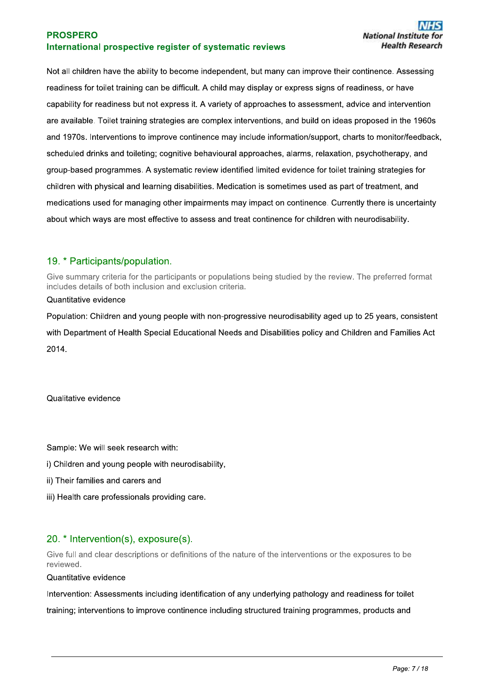Not all children have the ability to become independent, but many can improve their continence. Assessing readiness for toilet training can be difficult. A child may display or express signs of readiness, or have capability for readiness but not express it. A variety of approaches to assessment, advice and intervention are available. Toilet training strategies are complex interventions, and build on ideas proposed in the 1960s and 1970s. Interventions to improve continence may include information/support, charts to monitor/feedback, scheduled drinks and toileting; cognitive behavioural approaches, alarms, relaxation, psychotherapy, and group-based programmes. A systematic review identified limited evidence for toilet training strategies for children with physical and learning disabilities. Medication is sometimes used as part of treatment, and medications used for managing other impairments may impact on continence. Currently there is uncertainty about which ways are most effective to assess and treat continence for children with neurodisability.

## 19. \* Participants/population.

Give summary criteria for the participants or populations being studied by the review. The preferred format includes details of both inclusion and exclusion criteria.

#### Quantitative evidence

Population: Children and young people with non-progressive neurodisability aged up to 25 years, consistent with Department of Health Special Educational Needs and Disabilities policy and Children and Families Act 2014.

Qualitative evidence

Sample: We will seek research with:

- i) Children and voung people with neurodisability.
- ii) Their families and carers and
- iii) Health care professionals providing care.

## 20. \* Intervention(s), exposure(s).

Give full and clear descriptions or definitions of the nature of the interventions or the exposures to be reviewed.

Quantitative evidence

Intervention: Assessments including identification of any underlying pathology and readiness for toilet training; interventions to improve continence including structured training programmes, products and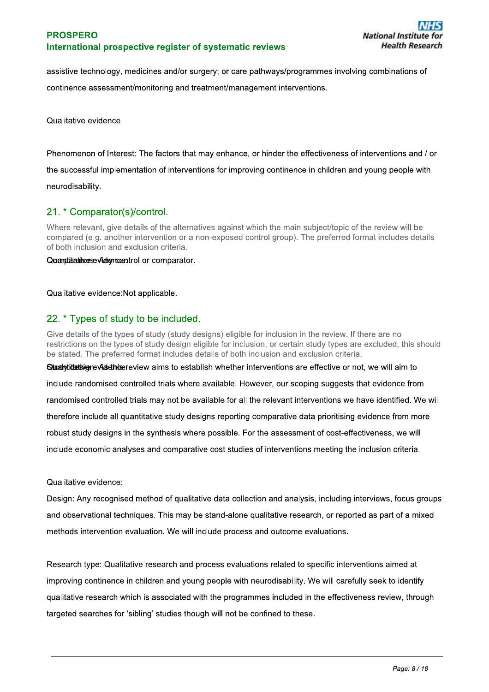assistive technology, medicines and/or surgery; or care pathways/programmes involving combinations of continence assessment/monitoring and treatment/management interventions.

Qualitative evidence

Phenomenon of Interest: The factors that may enhance, or hinder the effectiveness of interventions and / or the successful implementation of interventions for improving continence in children and young people with neurodisability.

## 21. \* Comparator(s)/control.

Where relevant, give details of the alternatives against which the main subject/topic of the review will be compared (e.g. another intervention or a non-exposed control group). The preferred format includes details of both inclusion and exclusion criteria.

#### Quantitativese Adencentrol or comparator.

#### Qualitative evidence: Not applicable.

## 22. \* Types of study to be included.

Give details of the types of study (study designs) eligible for inclusion in the review. If there are no restrictions on the types of study design eligible for inclusion, or certain study types are excluded, this should be stated. The preferred format includes details of both inclusion and exclusion criteria. Sumal vidiativen evided hose review aims to establish whether interventions are effective or not, we will aim to

include randomised controlled trials where available. However, our scoping suggests that evidence from randomised controlled trials may not be available for all the relevant interventions we have identified. We will therefore include all quantitative study designs reporting comparative data prioritising evidence from more robust study designs in the synthesis where possible. For the assessment of cost-effectiveness, we will include economic analyses and comparative cost studies of interventions meeting the inclusion criteria.

Qualitative evidence:

Design: Any recognised method of qualitative data collection and analysis, including interviews, focus groups and observational techniques. This may be stand-alone qualitative research, or reported as part of a mixed methods intervention evaluation. We will include process and outcome evaluations.

Research type: Qualitative research and process evaluations related to specific interventions aimed at improving continence in children and young people with neurodisability. We will carefully seek to identify qualitative research which is associated with the programmes included in the effectiveness review, through targeted searches for 'sibling' studies though will not be confined to these.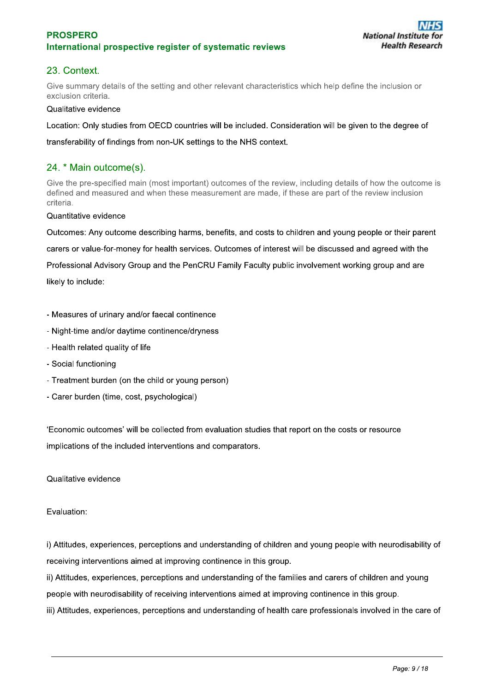## 23. Context.

Give summary details of the setting and other relevant characteristics which help define the inclusion or exclusion criteria.

#### Qualitative evidence

Location: Only studies from OECD countries will be included. Consideration will be given to the degree of

transferability of findings from non-UK settings to the NHS context.

## 24. \* Main outcome(s).

Give the pre-specified main (most important) outcomes of the review, including details of how the outcome is defined and measured and when these measurement are made, if these are part of the review inclusion criteria.

#### Quantitative evidence

Outcomes: Any outcome describing harms, benefits, and costs to children and young people or their parent carers or value-for-money for health services. Outcomes of interest will be discussed and agreed with the Professional Advisory Group and the PenCRU Family Faculty public involvement working group and are likely to include:

- Measures of urinary and/or faecal continence
- Night-time and/or daytime continence/dryness
- Health related quality of life
- Social functioning
- Treatment burden (on the child or young person)
- Carer burden (time, cost, psychological)

'Economic outcomes' will be collected from evaluation studies that report on the costs or resource implications of the included interventions and comparators.

Qualitative evidence

#### Evaluation:

i) Attitudes, experiences, perceptions and understanding of children and young people with neurodisability of receiving interventions aimed at improving continence in this group.

ii) Attitudes, experiences, perceptions and understanding of the families and carers of children and young people with neurodisability of receiving interventions aimed at improving continence in this group.

iii) Attitudes, experiences, perceptions and understanding of health care professionals involved in the care of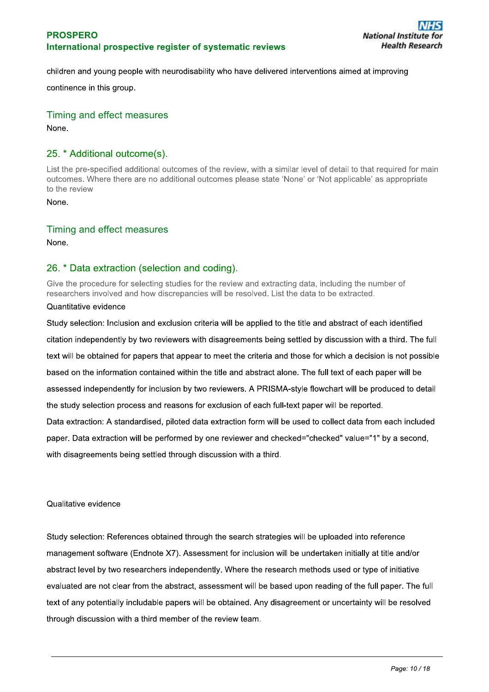children and young people with neurodisability who have delivered interventions aimed at improving

continence in this group.

Timing and effect measures None.

## 25. \* Additional outcome(s).

List the pre-specified additional outcomes of the review, with a similar level of detail to that required for main outcomes. Where there are no additional outcomes please state 'None' or 'Not applicable' as appropriate to the review

None.

Timing and effect measures

None.

## 26. \* Data extraction (selection and coding).

Give the procedure for selecting studies for the review and extracting data, including the number of researchers involved and how discrepancies will be resolved. List the data to be extracted.

#### Quantitative evidence

Study selection: Inclusion and exclusion criteria will be applied to the title and abstract of each identified citation independently by two reviewers with disagreements being settled by discussion with a third. The full text will be obtained for papers that appear to meet the criteria and those for which a decision is not possible based on the information contained within the title and abstract alone. The full text of each paper will be assessed independently for inclusion by two reviewers. A PRISMA-style flowchart will be produced to detail the study selection process and reasons for exclusion of each full-text paper will be reported. Data extraction: A standardised, piloted data extraction form will be used to collect data from each included paper. Data extraction will be performed by one reviewer and checked="checked" value="1" by a second.

with disagreements being settled through discussion with a third.

Qualitative evidence

Study selection: References obtained through the search strategies will be uploaded into reference management software (Endnote X7). Assessment for inclusion will be undertaken initially at title and/or abstract level by two researchers independently. Where the research methods used or type of initiative evaluated are not clear from the abstract, assessment will be based upon reading of the full paper. The full text of any potentially includable papers will be obtained. Any disagreement or uncertainty will be resolved through discussion with a third member of the review team.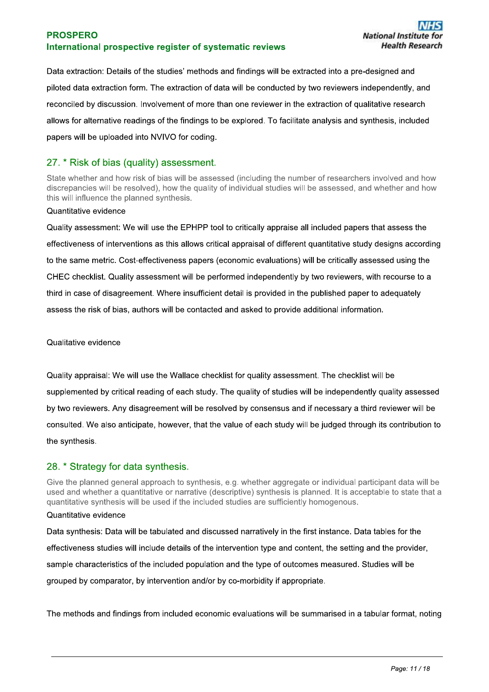Data extraction: Details of the studies' methods and findings will be extracted into a pre-designed and piloted data extraction form. The extraction of data will be conducted by two reviewers independently, and reconciled by discussion. Involvement of more than one reviewer in the extraction of qualitative research allows for alternative readings of the findings to be explored. To facilitate analysis and synthesis, included papers will be uploaded into NVIVO for coding.

## 27. \* Risk of bias (quality) assessment.

State whether and how risk of bias will be assessed (including the number of researchers involved and how discrepancies will be resolved), how the quality of individual studies will be assessed, and whether and how this will influence the planned synthesis.

#### Quantitative evidence

Quality assessment: We will use the EPHPP tool to critically appraise all included papers that assess the effectiveness of interventions as this allows critical appraisal of different quantitative study designs according to the same metric. Cost-effectiveness papers (economic evaluations) will be critically assessed using the CHEC checklist. Quality assessment will be performed independently by two reviewers, with recourse to a third in case of disagreement. Where insufficient detail is provided in the published paper to adequately assess the risk of bias, authors will be contacted and asked to provide additional information.

#### Qualitative evidence

Quality appraisal: We will use the Wallace checklist for quality assessment. The checklist will be supplemented by critical reading of each study. The quality of studies will be independently quality assessed by two reviewers. Any disagreement will be resolved by consensus and if necessary a third reviewer will be consulted. We also anticipate, however, that the value of each study will be judged through its contribution to the synthesis.

## 28. \* Strategy for data synthesis.

Give the planned general approach to synthesis, e.g. whether aggregate or individual participant data will be used and whether a quantitative or narrative (descriptive) synthesis is planned. It is acceptable to state that a quantitative synthesis will be used if the included studies are sufficiently homogenous.

#### Quantitative evidence

Data synthesis: Data will be tabulated and discussed narratively in the first instance. Data tables for the effectiveness studies will include details of the intervention type and content, the setting and the provider, sample characteristics of the included population and the type of outcomes measured. Studies will be grouped by comparator, by intervention and/or by co-morbidity if appropriate.

The methods and findings from included economic evaluations will be summarised in a tabular format, noting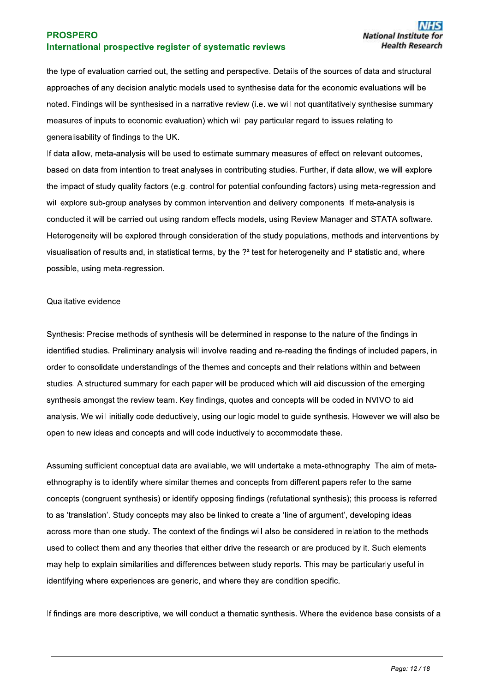the type of evaluation carried out, the setting and perspective. Details of the sources of data and structural approaches of any decision analytic models used to synthesise data for the economic evaluations will be noted. Findings will be synthesised in a narrative review (i.e. we will not quantitatively synthesise summary measures of inputs to economic evaluation) which will pay particular regard to issues relating to generalisability of findings to the UK.

If data allow, meta-analysis will be used to estimate summary measures of effect on relevant outcomes, based on data from intention to treat analyses in contributing studies. Further, if data allow, we will explore the impact of study quality factors (e.g. control for potential confounding factors) using meta-regression and will explore sub-group analyses by common intervention and delivery components. If meta-analysis is conducted it will be carried out using random effects models, using Review Manager and STATA software. Heterogeneity will be explored through consideration of the study populations, methods and interventions by visualisation of results and, in statistical terms, by the ?<sup>2</sup> test for heterogeneity and I<sup>2</sup> statistic and, where possible, using meta-regression.

#### Qualitative evidence

Synthesis: Precise methods of synthesis will be determined in response to the nature of the findings in identified studies. Preliminary analysis will involve reading and re-reading the findings of included papers, in order to consolidate understandings of the themes and concepts and their relations within and between studies. A structured summary for each paper will be produced which will aid discussion of the emerging synthesis amongst the review team. Key findings, quotes and concepts will be coded in NVIVO to aid analysis. We will initially code deductively, using our logic model to guide synthesis. However we will also be open to new ideas and concepts and will code inductively to accommodate these.

Assuming sufficient conceptual data are available, we will undertake a meta-ethnography. The aim of metaethnography is to identify where similar themes and concepts from different papers refer to the same concepts (congruent synthesis) or identify opposing findings (refutational synthesis); this process is referred to as 'translation'. Study concepts may also be linked to create a 'line of argument', developing ideas across more than one study. The context of the findings will also be considered in relation to the methods used to collect them and any theories that either drive the research or are produced by it. Such elements may help to explain similarities and differences between study reports. This may be particularly useful in identifying where experiences are generic, and where they are condition specific.

If findings are more descriptive, we will conduct a thematic synthesis. Where the evidence base consists of a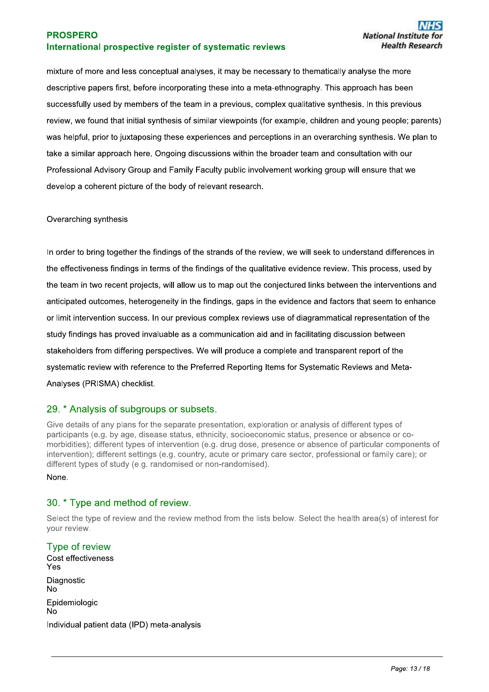mixture of more and less conceptual analyses, it may be necessary to thematically analyse the more descriptive papers first, before incorporating these into a meta-ethnography. This approach has been successfully used by members of the team in a previous, complex qualitative synthesis. In this previous review, we found that initial synthesis of similar viewpoints (for example, children and young people; parents) was helpful, prior to juxtaposing these experiences and perceptions in an overarching synthesis. We plan to take a similar approach here. Ongoing discussions within the broader team and consultation with our Professional Advisory Group and Family Faculty public involvement working group will ensure that we develop a coherent picture of the body of relevant research.

#### Overarching synthesis

In order to bring together the findings of the strands of the review, we will seek to understand differences in the effectiveness findings in terms of the findings of the qualitative evidence review. This process, used by the team in two recent projects, will allow us to map out the conjectured links between the interventions and anticipated outcomes, heterogeneity in the findings, gaps in the evidence and factors that seem to enhance or limit intervention success. In our previous complex reviews use of diagrammatical representation of the study findings has proved invaluable as a communication aid and in facilitating discussion between stakeholders from differing perspectives. We will produce a complete and transparent report of the systematic review with reference to the Preferred Reporting Items for Systematic Reviews and Meta-Analyses (PRISMA) checklist.

## 29. \* Analysis of subgroups or subsets.

Give details of any plans for the separate presentation, exploration or analysis of different types of participants (e.g. by age, disease status, ethnicity, socioeconomic status, presence or absence or comorbidities); different types of intervention (e.g. drug dose, presence or absence of particular components of intervention); different settings (e.g. country, acute or primary care sector, professional or family care); or different types of study (e.g. randomised or non-randomised).

#### None.

## 30. \* Type and method of review.

Select the type of review and the review method from the lists below. Select the health area(s) of interest for vour review.

## Type of review

Cost effectiveness Yes Diagnostic  $No$ Epidemiologic **No** Individual patient data (IPD) meta-analysis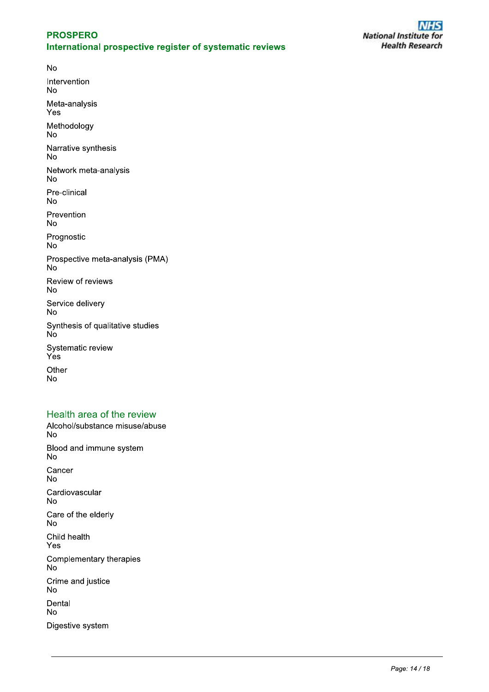**No** Intervention **No** Meta-analysis Yes Methodology **No** Narrative synthesis **No** Network meta-analysis **No** Pre-clinical **No** Prevention **No** Prognostic No Prospective meta-analysis (PMA) **No** Review of reviews No Service delivery **No** Synthesis of qualitative studies **No** Systematic review  $Yes$ Other **No** 

## Health area of the review

Alcohol/substance misuse/abuse  $No$ Blood and immune system **No** Cancer **No** Cardiovascular **No** Care of the elderly No Child health Yes Complementary therapies  $No$ Crime and justice **No** Dental **No** Digestive system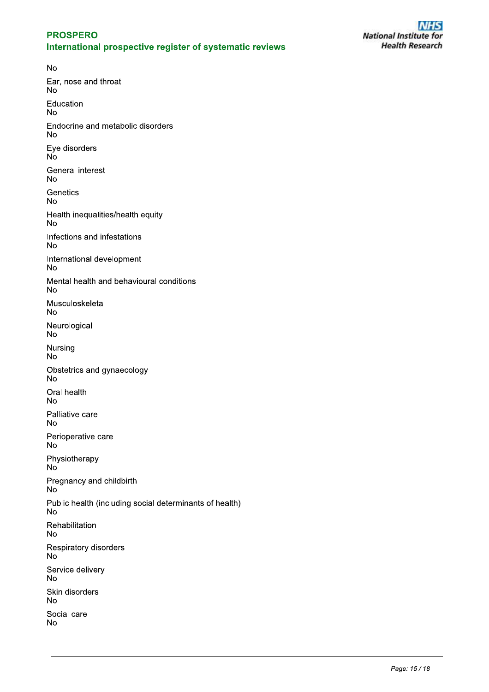**No** Ear, nose and throat **No** Education **No** Endocrine and metabolic disorders **No** Eye disorders No. **General interest No** Genetics **No** Health inequalities/health equity **No** Infections and infestations **No** International development **No** Mental health and behavioural conditions **No** Musculoskeletal **No** Neurological **No** Nursing **No** Obstetrics and gynaecology **No** Oral health **No** Palliative care **No** Perioperative care **No** Physiotherapy No<sup>-</sup> Pregnancy and childbirth  $No$ Public health (including social determinants of health) **No** Rehabilitation **No** Respiratory disorders **No** Service delivery **No** Skin disorders **No** Social care **No**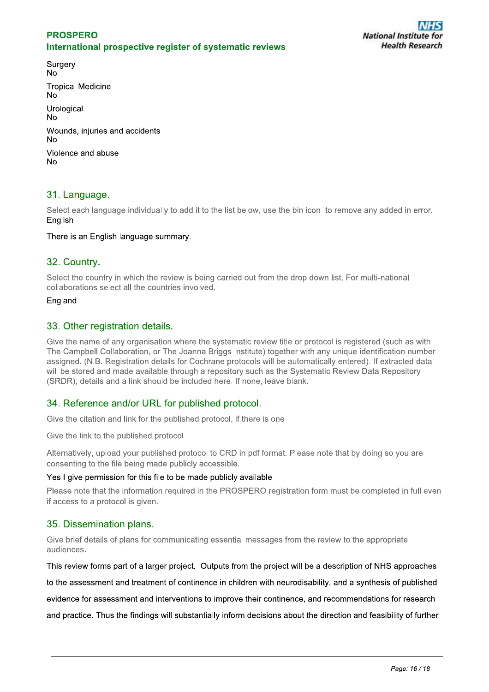Surgery **No Tropical Medicine No** Urological **No** Wounds, injuries and accidents No Violence and abuse  $No$ 

## 31. Language.

Select each language individually to add it to the list below, use the bin icon to remove any added in error. English

#### There is an English language summary.

## 32. Country.

Select the country in which the review is being carried out from the drop down list. For multi-national collaborations select all the countries involved.

#### England

## 33. Other registration details.

Give the name of any organisation where the systematic review title or protocol is registered (such as with The Campbell Collaboration, or The Joanna Briggs Institute) together with any unique identification number assigned. (N.B. Registration details for Cochrane protocols will be automatically entered). If extracted data will be stored and made available through a repository such as the Systematic Review Data Repository (SRDR), details and a link should be included here. If none, leave blank.

## 34. Reference and/or URL for published protocol.

Give the citation and link for the published protocol, if there is one

Give the link to the published protocol.

Alternatively, upload your published protocol to CRD in pdf format. Please note that by doing so you are consenting to the file being made publicly accessible.

#### Yes I give permission for this file to be made publicly available

Please note that the information required in the PROSPERO registration form must be completed in full even if access to a protocol is given.

## 35. Dissemination plans.

Give brief details of plans for communicating essential messages from the review to the appropriate audiences.

This review forms part of a larger project. Outputs from the project will be a description of NHS approaches

to the assessment and treatment of continence in children with neurodisability, and a synthesis of published

evidence for assessment and interventions to improve their continence, and recommendations for research

and practice. Thus the findings will substantially inform decisions about the direction and feasibility of further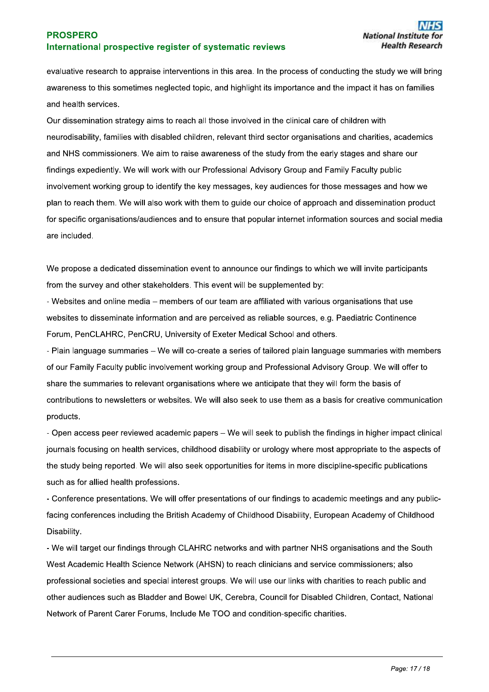evaluative research to appraise interventions in this area. In the process of conducting the study we will bring awareness to this sometimes neglected topic, and highlight its importance and the impact it has on families and health services.

Our dissemination strategy aims to reach all those involved in the clinical care of children with neurodisability, families with disabled children, relevant third sector organisations and charities, academics and NHS commissioners. We aim to raise awareness of the study from the early stages and share our findings expediently. We will work with our Professional Advisory Group and Family Faculty public involvement working group to identify the key messages, key audiences for those messages and how we plan to reach them. We will also work with them to guide our choice of approach and dissemination product for specific organisations/audiences and to ensure that popular internet information sources and social media are included.

We propose a dedicated dissemination event to announce our findings to which we will invite participants from the survey and other stakeholders. This event will be supplemented by:

- Websites and online media – members of our team are affiliated with various organisations that use websites to disseminate information and are perceived as reliable sources, e.g. Paediatric Continence Forum, PenCLAHRC, PenCRU, University of Exeter Medical School and others.

- Plain language summaries – We will co-create a series of tailored plain language summaries with members of our Family Faculty public involvement working group and Professional Advisory Group. We will offer to share the summaries to relevant organisations where we anticipate that they will form the basis of contributions to newsletters or websites. We will also seek to use them as a basis for creative communication products.

- Open access peer reviewed academic papers – We will seek to publish the findings in higher impact clinical journals focusing on health services, childhood disability or urology where most appropriate to the aspects of the study being reported. We will also seek opportunities for items in more discipline-specific publications such as for allied health professions.

- Conference presentations. We will offer presentations of our findings to academic meetings and any publicfacing conferences including the British Academy of Childhood Disability, European Academy of Childhood Disability.

- We will target our findings through CLAHRC networks and with partner NHS organisations and the South West Academic Health Science Network (AHSN) to reach clinicians and service commissioners; also professional societies and special interest groups. We will use our links with charities to reach public and other audiences such as Bladder and Bowel UK, Cerebra, Council for Disabled Children, Contact, National Network of Parent Carer Forums, Include Me TOO and condition-specific charities.